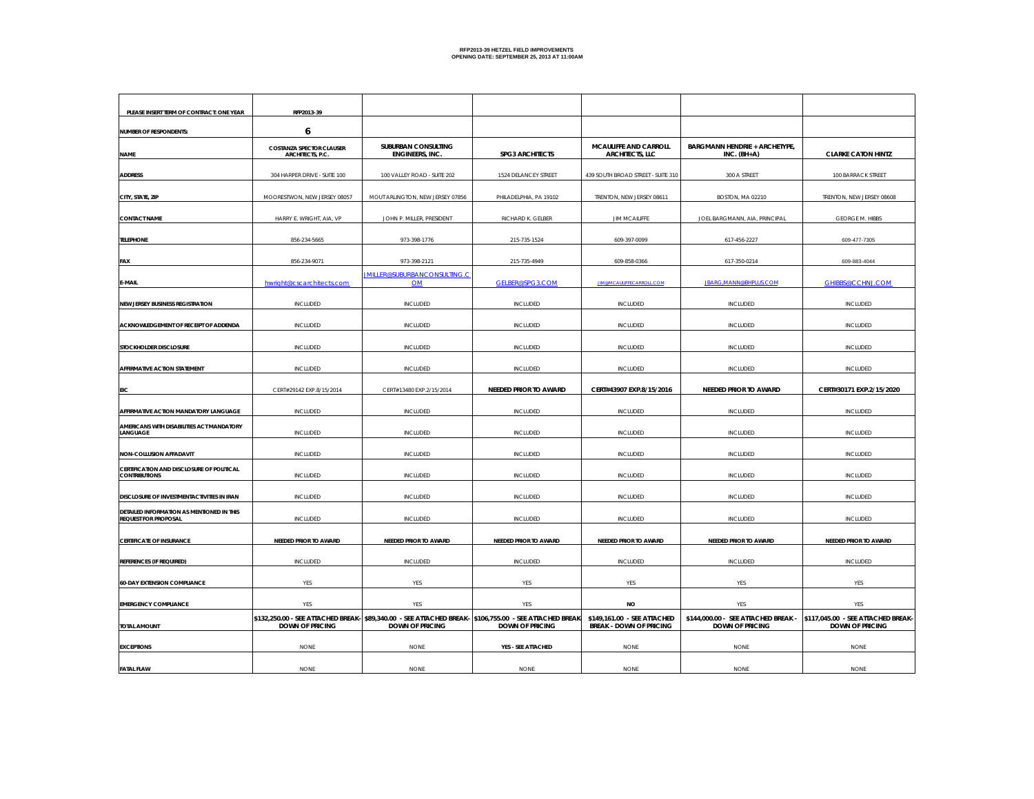| PLEASE INSERT TERM OF CONTRACT: ONE YEAR                                 | RFP2013-39                                          |                                                                                                                                   |                        |                                                               |                                                               |                                                              |
|--------------------------------------------------------------------------|-----------------------------------------------------|-----------------------------------------------------------------------------------------------------------------------------------|------------------------|---------------------------------------------------------------|---------------------------------------------------------------|--------------------------------------------------------------|
| NUMBER OF RESPONDENTS:                                                   | 6                                                   |                                                                                                                                   |                        |                                                               |                                                               |                                                              |
| <b>NAME</b>                                                              | <b>COSTANZA SPECTOR CLAUSER</b><br>ARCHITECTS, P.C. | SUBURBAN CONSULTING<br>ENGINEERS, INC.                                                                                            | <b>SPG3 ARCHITECTS</b> | MCAULIFFE AND CARROLL<br><b>ARCHITECTS, LLC</b>               | <b>BARGMANN HENDRIE + ARCHETYPE,</b><br>$INC. (BH+A)$         | <b>CLARKE CATON HINTZ</b>                                    |
| <b>ADDRESS</b>                                                           | 304 HARPER DRIVE - SUITE 100                        | 100 VALLEY ROAD - SUITE 202                                                                                                       | 1524 DELANCEY STREET   | 439 SOUTH BROAD STREET - SUITE 310                            | 300 A STREET                                                  | 100 BARRACK STREET                                           |
| CITY, STATE, ZIP                                                         | MOORESTWON, NEW JERSEY 08057                        | MOUT ARLINGTON, NEW JERSEY 07856                                                                                                  | PHILADELPHIA, PA 19102 | TRENTON, NEW JERSEY 08611                                     | BOSTON, MA 02210                                              | TRENTON, NEW JERSEY 08608                                    |
| <b>CONTACT NAME</b>                                                      | HARRY E. WRIGHT, AIA, VP                            | JOHN P. MILLER, PRESIDENT                                                                                                         | RICHARD K. GELBER      | <b>JIM MCAILIFFE</b>                                          | JOEL BARGMANN, AIA, PRINCIPAL                                 | <b>GEORGE M. HIBBS</b>                                       |
| <b>TELEPHONE</b>                                                         | 856-234-5665                                        | 973-398-1776                                                                                                                      | 215-735-1524           | 609-397-0099                                                  | 617-456-2227                                                  | 609-477-7305                                                 |
| FAX                                                                      | 856-234-9071                                        | 973-398-2121                                                                                                                      | 215-735-4949           | 609-858-0366                                                  | 617-350-0214                                                  | 609-883-4044                                                 |
| E-MAIL                                                                   | hwright@cscarchitects.com                           | <b>IMILLER@SUBURBANCONSULTING.C</b><br><b>OM</b>                                                                                  | GELBER@SPG3.COM        | <b>JIM@MCAULIFFECARROLL.COM</b>                               | JBARG, MANN@BHPLUS.COM                                        | GHIBBS@CCHNJ.COM                                             |
| <b>NEW JERSEY BUSINESS REGISTRATION</b>                                  | INCLUDED                                            | INCLUDED                                                                                                                          | INCLUDED               | INCLUDED                                                      | INCLUDED                                                      | INCLUDED                                                     |
| ACKNOWLEDGEMENT OF RECEIPT OF ADDENDA                                    | INCLUDED                                            | INCLUDED                                                                                                                          | INCLUDED               | INCLUDED                                                      | INCLUDED                                                      | INCLUDED                                                     |
| STOCKHOLDER DISCLOSURE                                                   | INCLUDED                                            | INCLUDED                                                                                                                          | INCLUDED               | INCLUDED                                                      | INCLUDED                                                      | INCLUDED                                                     |
| AFFIRMATIVE ACTION STATEMENT                                             | <b>INCLUDED</b>                                     | <b>INCLUDED</b>                                                                                                                   | INCLUDED               | <b>INCLUDED</b>                                               | <b>INCLUDED</b>                                               | INCLUDED                                                     |
| <b>EIC</b>                                                               | CERT#29142 EXP.8/15/2014                            | CERT#13480 EXP.2/15/2014                                                                                                          | NEEDED PRIOR TO AWARD  | CERT#43907 EXP.8/15/2016                                      | NEEDED PRIOR TO AWARD                                         | CERT#30171 EXP.2/15/2020                                     |
| AFFIRMATIVE ACTION MANDATORY LANGUAGE                                    | INCLUDED                                            | <b>INCLUDED</b>                                                                                                                   | INCLUDED               | <b>INCLUDED</b>                                               | <b>INCLUDED</b>                                               | INCLUDED                                                     |
| AMERICANS WITH DISABILITIES ACT MANDATORY<br>LANGUAGE                    | INCLUDED                                            | INCLUDED                                                                                                                          | INCLUDED               | INCLUDED                                                      | INCLUDED                                                      | INCLUDED                                                     |
| NON-COLLUSION AFFADAVIT                                                  | INCLUDED                                            | INCLUDED                                                                                                                          | INCLUDED               | INCLUDED                                                      | INCLUDED                                                      | INCLUDED                                                     |
| CERTIFICATION AND DISCLOSURE OF POLITICAL<br><b>CONTRIBUTIONS</b>        | INCLUDED                                            | INCLUDED                                                                                                                          | INCLUDED               | INCLUDED                                                      | INCLUDED                                                      | INCLUDED                                                     |
| DISCLOSURE OF INVESTMENTACTIVITIES IN IRAN                               | <b>INCLUDED</b>                                     | <b>INCLUDED</b>                                                                                                                   | <b>INCLUDED</b>        | <b>INCLUDED</b>                                               | INCLUDED                                                      | <b>INCLUDED</b>                                              |
| DETAILED INFORMATION AS MENTIONED IN THIS<br><b>REQUEST FOR PROPOSAL</b> | INCLUDED                                            | INCLUDED                                                                                                                          | INCLUDED               | INCLUDED                                                      | INCLUDED                                                      | INCLUDED                                                     |
| <b>CERTIFICATE OF INSURANCE</b>                                          | NEEDED PRIOR TO AWARD                               | NEEDED PRIOR TO AWARD                                                                                                             | NEEDED PRIOR TO AWARD  | NEEDED PRIOR TO AWARD                                         | NEEDED PRIOR TO AWARD                                         | NEEDED PRIOR TO AWARD                                        |
| REFERENCES (IF REQUIRED)                                                 | INCLUDED                                            | INCLUDED                                                                                                                          | INCLUDED               | INCLUDED                                                      | INCLUDED                                                      | <b>INCLUDED</b>                                              |
| <b>60-DAY EXTENSION COMPLIANCE</b>                                       | YES                                                 | YES                                                                                                                               | YES                    | <b>YES</b>                                                    | YES                                                           | YES                                                          |
| <b>EMERGENCY COMPLIANCE</b>                                              | YES                                                 | YES                                                                                                                               | YES                    | <b>NO</b>                                                     | YES                                                           | YES                                                          |
| <b>TOTAL AMOUNT</b>                                                      | <b>DOWN OF PRICING</b>                              | \$132,250.00 - SEE ATTACHED BREAK- \$89,340.00 - SEE ATTACHED BREAK- \$106,755.00 - SEE ATTACHED BREAK-<br><b>DOWN OF PRICING</b> | <b>DOWN OF PRICING</b> | \$149.161.00 - SEE ATTACHED<br><b>BREAK - DOWN OF PRICING</b> | \$144,000.00 - SEE ATTACHED BREAK -<br><b>DOWN OF PRICING</b> | \$117,045.00 - SEE ATTACHED BREAK-<br><b>DOWN OF PRICING</b> |
| <b>EXCEPTIONS</b>                                                        | <b>NONE</b>                                         | <b>NONE</b>                                                                                                                       | YES - SEE ATTACHED     | <b>NONE</b>                                                   | <b>NONE</b>                                                   | <b>NONE</b>                                                  |
| <b>FATAL FLAW</b>                                                        | <b>NONE</b>                                         | <b>NONE</b>                                                                                                                       | <b>NONE</b>            | <b>NONE</b>                                                   | <b>NONE</b>                                                   | <b>NONE</b>                                                  |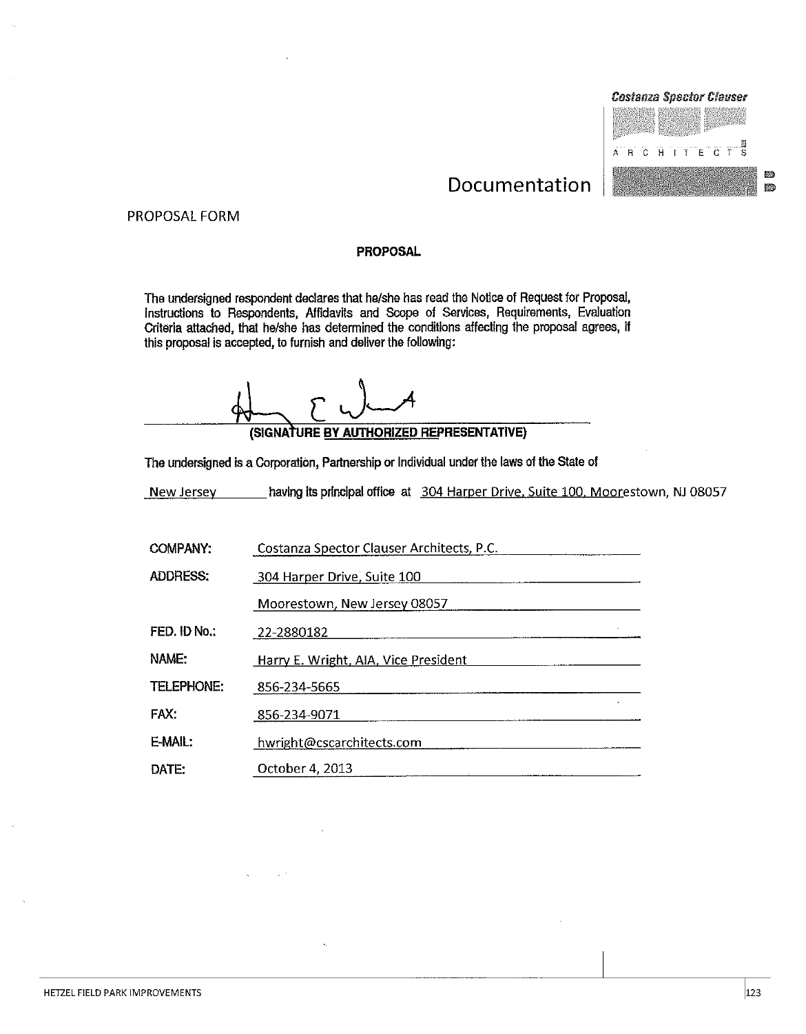

## Documentation

#### PROPOSAL FORM

#### **PROPOSAL**

The undersigned respondent declares that he/she has read the Notice of Request for Proposal, Instructions to Respondents, Affidavits and Scope of Services, Requirements, Evaluation<br>Criteria attached, that he/she has determined the conditions affecting the proposal agrees, if this proposal is accepted, to furnish and deliver the following:

(SIGNATURE BY AUTHORIZED REPRESENTATIVE)

The undersigned is a Corporation, Partnership or Individual under the laws of the State of

having its principal office at 304 Harper Drive, Suite 100, Moorestown, NJ 08057 New Jersey

| <b>COMPANY:</b>   | Costanza Spector Clauser Architects, P.C. |
|-------------------|-------------------------------------------|
| <b>ADDRESS:</b>   | 304 Harper Drive, Suite 100               |
|                   | Moorestown, New Jersey 08057              |
| FED. ID No.:      | 22-2880182                                |
| NAME:             | Harry E. Wright, AIA, Vice President      |
| <b>TELEPHONE:</b> | 856-234-5665                              |
| FAX:              | 856-234-9071                              |
| E-MAIL:           | hwright@cscarchitects.com                 |
| DATE:             | October 4, 2013                           |
|                   |                                           |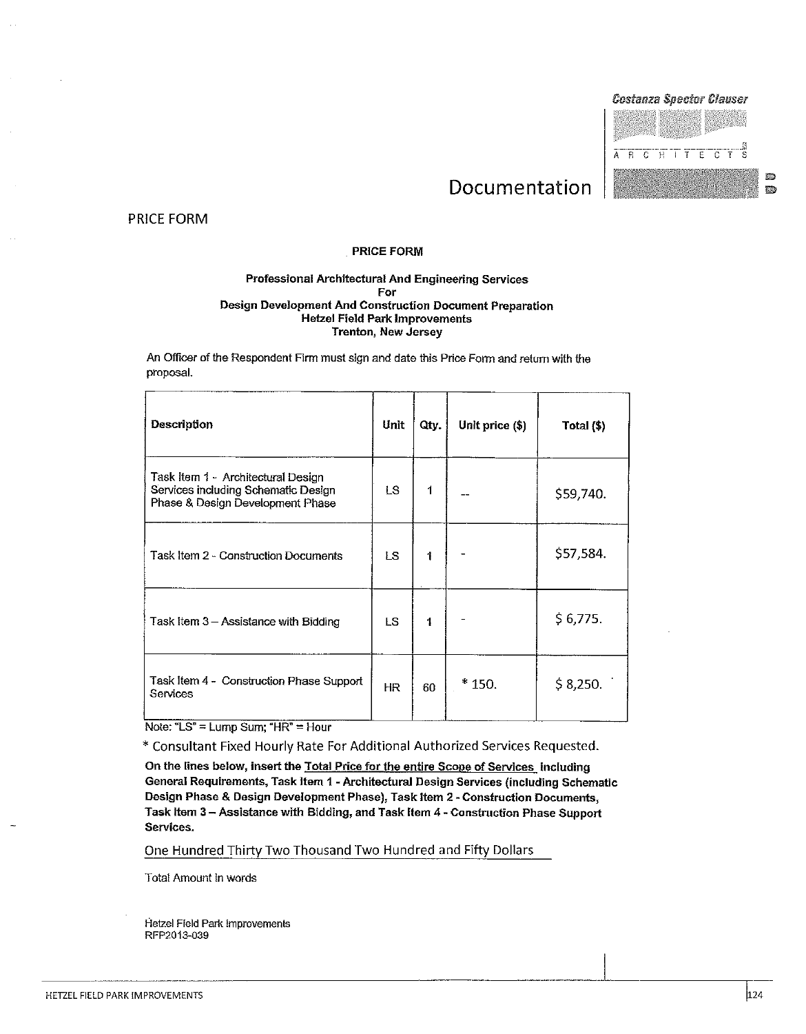



憠

p.

## Documentation

**PRICE FORM** 

#### **PRICE FORM**

#### Professional Architectural And Engineering Services For Design Development And Construction Document Preparation **Hetzel Field Park Improvements Trenton, New Jersey**

An Officer of the Respondent Firm must sign and date this Price Form and return with the proposal.

| Description                                                                                                   | Unit      | Qty. | Unit price (\$) | Total (\$) |
|---------------------------------------------------------------------------------------------------------------|-----------|------|-----------------|------------|
| Task Item 1 - Architectural Design<br>Services including Schematic Design<br>Phase & Design Development Phase | LS.       | 1    |                 | \$59,740.  |
| Task Item 2 - Construction Documents                                                                          | LS.       | 1    |                 | \$57,584.  |
| Task Item 3 - Assistance with Bidding                                                                         | LS.       | 1    |                 | \$6,775.   |
| Task Item 4 - Construction Phase Support<br>Services                                                          | <b>HR</b> | 60   | $*150.$         | \$8,250.   |

Note: "LS" = Lump Sum; "HR" = Hour

\* Consultant Fixed Hourly Rate For Additional Authorized Services Requested.

On the lines below, insert the Total Price for the entire Scope of Services including General Requirements, Task Item 1 - Architectural Design Services (including Schematic Design Phase & Design Development Phase), Task Item 2 - Construction Documents, Task Item 3 - Assistance with Bidding, and Task Item 4 - Construction Phase Support Services.

One Hundred Thirty Two Thousand Two Hundred and Fifty Dollars

**Total Amount in words**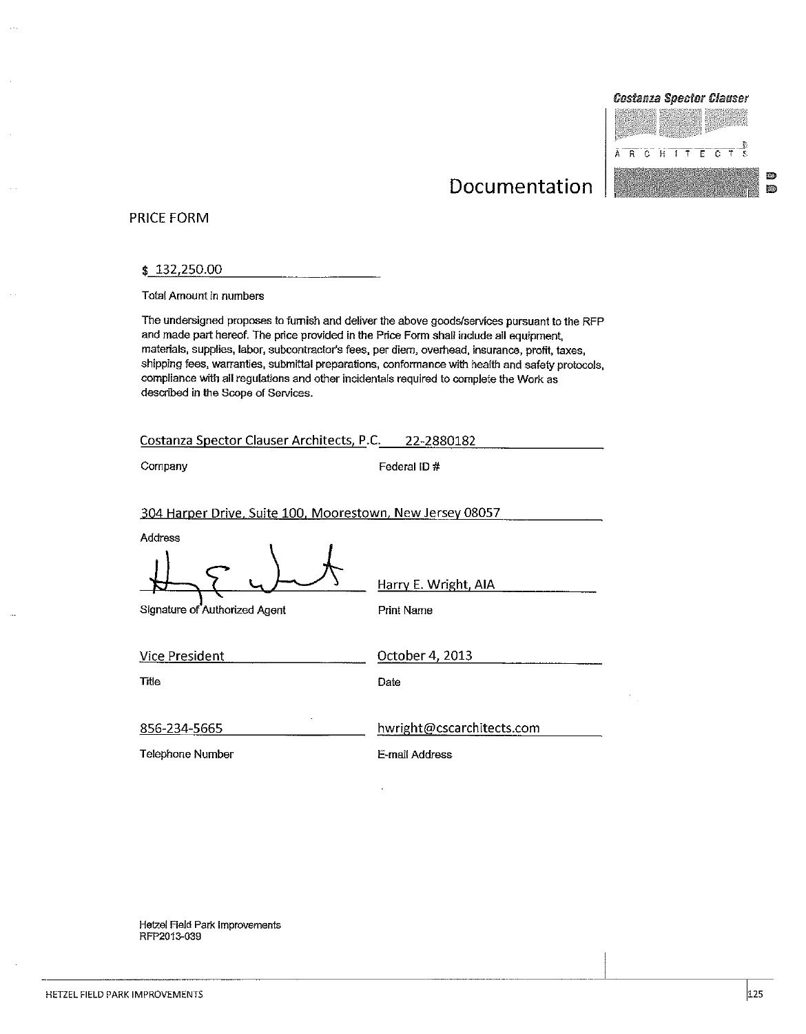#### **Costanza Spector Clauser**



Ø

Ð

## Documentation

#### **PRICE FORM**

#### \$132,250.00

**Total Amount in numbers** 

The undersigned proposes to furnish and deliver the above goods/services pursuant to the RFP and made part hereof. The price provided in the Price Form shall include all equipment, materials, supplies, labor, subcontractor's fees, per diem, overhead, insurance, profit, taxes, shipping fees, warranties, submittal preparations, conformance with health and safety protocols, compliance with all regulations and other incidentals required to complete the Work as described in the Scope of Services.

| Costanza Spector Clauser Architects, P.C. 22-2880182                 |                                           |
|----------------------------------------------------------------------|-------------------------------------------|
| Company                                                              | Federal ID#                               |
| 304 Harper Drive, Suite 100, Moorestown, New Jersey 08057<br>Address |                                           |
| Signature of Authorized Agent                                        | Harry E. Wright, AIA<br><b>Print Name</b> |
| <b>Vice President</b>                                                | October 4, 2013                           |
| Title                                                                | Date                                      |
| 856-234-5665                                                         | hwright@cscarchitects.com                 |
| Telephone Number                                                     | E-mail Address                            |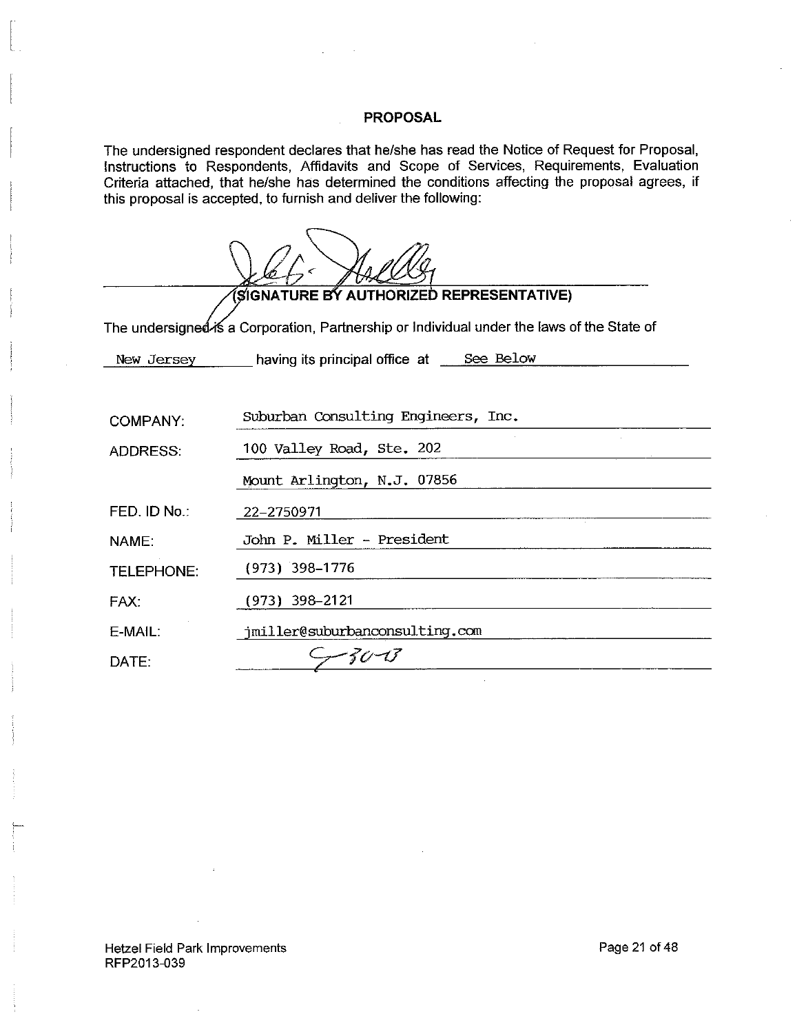The undersigned respondent declares that he/she has read the Notice of Request for Proposal, Instructions to Respondents, Affidavits and Scope of Services, Requirements, Evaluation Criteria attached, that he/she has determined the conditions affecting the proposal agrees, if this proposal is accepted, to furnish and deliver the following:

|                   | (SIGNATURE BY AUTHORIZED REPRESENTATIVE)                                                   |  |  |
|-------------------|--------------------------------------------------------------------------------------------|--|--|
|                   | The undersigneඒ⁄is a Corporation, Partnership or Individual under the laws of the State of |  |  |
|                   | New Jersey having its principal office at See Below                                        |  |  |
|                   |                                                                                            |  |  |
| COMPANY:          | Suburban Consulting Engineers, Inc.                                                        |  |  |
| <b>ADDRESS:</b>   | 100 Valley Road, Ste. 202                                                                  |  |  |
|                   | Mount Arlington, N.J. 07856                                                                |  |  |
| FED. ID No.:      | 22-2750971                                                                                 |  |  |
| NAME:             | John P. Miller - President                                                                 |  |  |
| <b>TELEPHONE:</b> | (973) 398–1776                                                                             |  |  |
| FAX:              | (973) 398-2121                                                                             |  |  |
| E-MAIL:           | jmiller@suburbanconsulting.com                                                             |  |  |
| DATE:             | -30-13                                                                                     |  |  |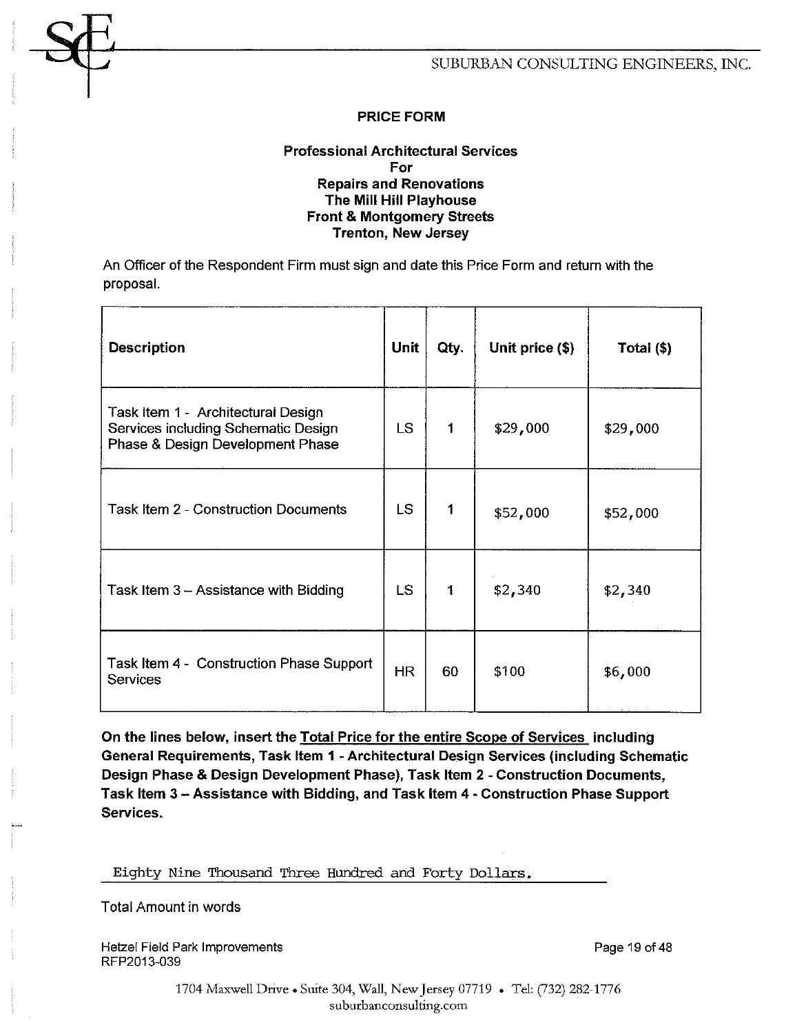#### **Professional Architectural Services** For **Repairs and Renovations** The Mill Hill Playhouse **Front & Montgomery Streets Trenton, New Jersey**

An Officer of the Respondent Firm must sign and date this Price Form and return with the proposal.

| <b>Description</b>                                                                                            | Unit      | Qty. | Unit price (\$) | Total (\$) |
|---------------------------------------------------------------------------------------------------------------|-----------|------|-----------------|------------|
| Task Item 1 - Architectural Design<br>Services including Schematic Design<br>Phase & Design Development Phase | LS.       | 1    | \$29,000        | \$29,000   |
| <b>Task Item 2 - Construction Documents</b>                                                                   | <b>LS</b> | 1    | \$52,000        | \$52,000   |
| Task Item 3 - Assistance with Bidding                                                                         | LS.       | 1    | \$2,340         | \$2,340    |
| Task Item 4 - Construction Phase Support<br><b>Services</b>                                                   | <b>HR</b> | 60   | \$100           | \$6,000    |

On the lines below, insert the Total Price for the entire Scope of Services, including General Requirements, Task Item 1 - Architectural Design Services (including Schematic Design Phase & Design Development Phase), Task Item 2 - Construction Documents, Task Item 3 - Assistance with Bidding, and Task Item 4 - Construction Phase Support Services.

Eighty Nine Thousand Three Hundred and Forty Dollars.

Total Amount in words

Hetzel Field Park Improvements RFP2013-039

Page 19 of 48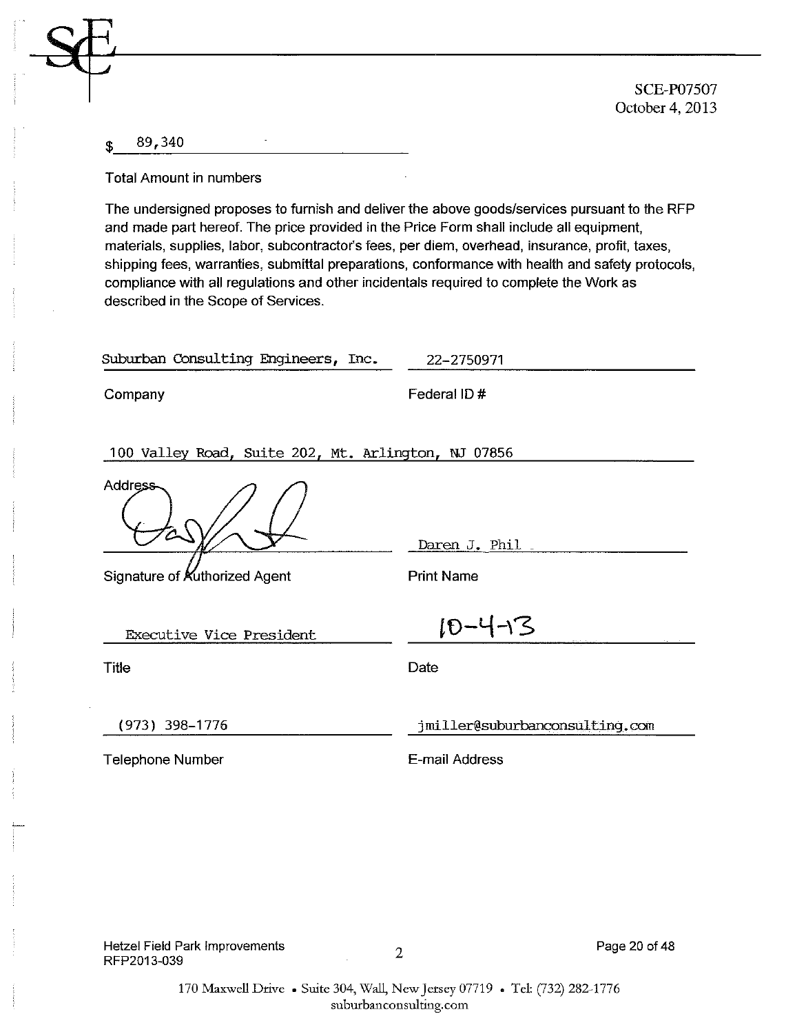**SCE-P07507** October 4, 2013

#### 89,340 \$

**Total Amount in numbers** 

The undersigned proposes to furnish and deliver the above goods/services pursuant to the RFP and made part hereof. The price provided in the Price Form shall include all equipment. materials, supplies, labor, subcontractor's fees, per diem, overhead, insurance, profit, taxes, shipping fees, warranties, submittal preparations, conformance with health and safety protocols, compliance with all regulations and other incidentals required to complete the Work as described in the Scope of Services.

| Suburban Consulting Engineers, Inc.                 | 22-2750971                     |
|-----------------------------------------------------|--------------------------------|
| Company                                             | Federal ID#                    |
| 100 Valley Road, Suite 202, Mt. Arlington, NJ 07856 |                                |
| Address                                             |                                |
|                                                     | Daren J. Phil                  |
| Signature of Kuthorized Agent                       | <b>Print Name</b>              |
| <b>Executive Vice President</b>                     | $10 - 4 - 3$                   |
| <b>Title</b>                                        | Date                           |
| (973) 398-1776                                      | jmiller@suburbanconsulting.com |
| <b>Telephone Number</b>                             | E-mail Address                 |
|                                                     |                                |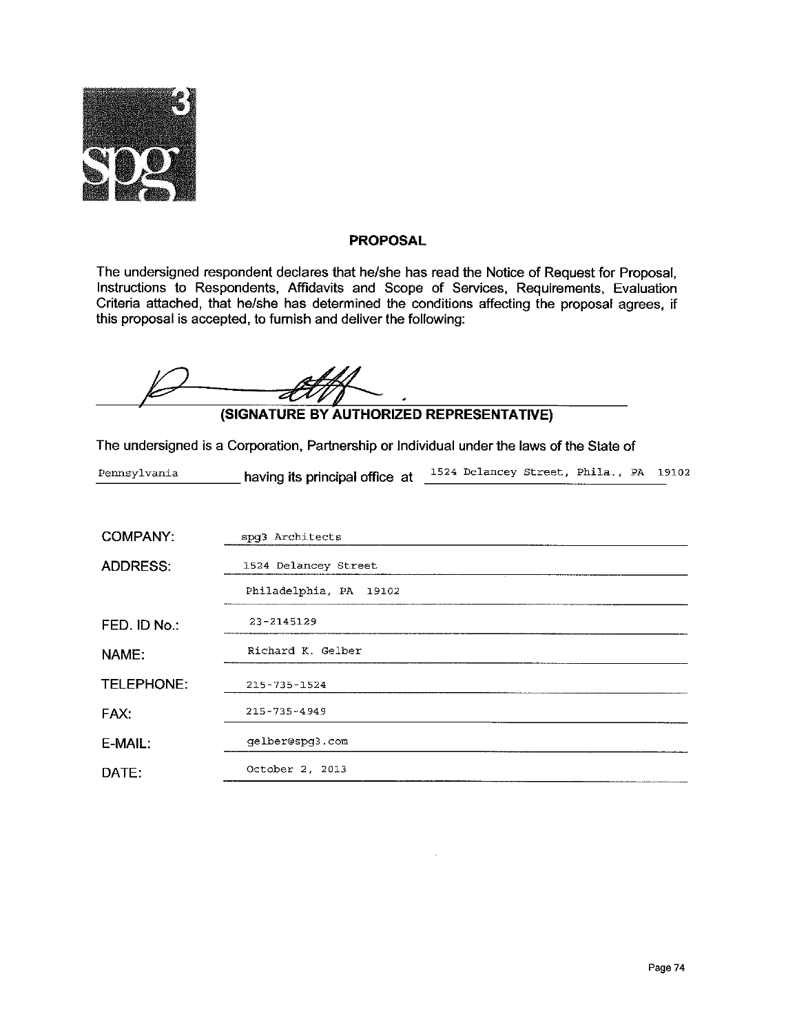

The undersigned respondent declares that he/she has read the Notice of Request for Proposal, Instructions to Respondents, Affidavits and Scope of Services, Requirements, Evaluation Criteria attached, that he/she has determined the conditions affecting the proposal agrees, if this proposal is accepted, to furnish and deliver the following:

(SIGNATURE BY AUTHORIZED REPRESENTATIVE)

The undersigned is a Corporation, Partnership or Individual under the laws of the State of

| Pennsylvania | having its principal office at | 1524 Delancey Street, Phila., PA 19102 |  |  |
|--------------|--------------------------------|----------------------------------------|--|--|
|              |                                |                                        |  |  |

| <b>COMPANY:</b> | spq3 Architects        |
|-----------------|------------------------|
| <b>ADDRESS:</b> | 1524 Delancey Street   |
|                 | Philadelphia, PA 19102 |
| FED. ID No.:    | 23-2145129             |
| NAME:           | Richard K. Gelber      |
| TELEPHONE:      | $215 - 735 - 1524$     |
| FAX:            | $215 - 735 - 4949$     |
| E-MAIL:         | gelber@spg3.com        |
| DATE:           | October 2, 2013        |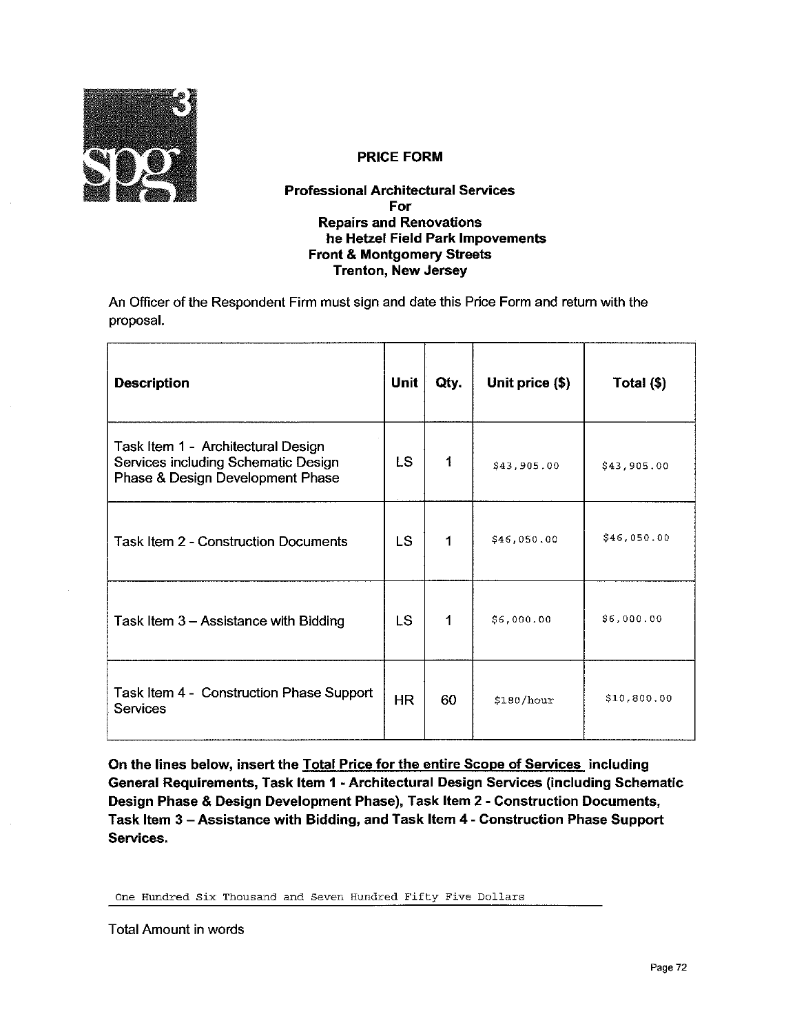

#### **Professional Architectural Services** For **Repairs and Renovations** he Hetzel Field Park Impovements **Front & Montgomery Streets Trenton, New Jersey**

An Officer of the Respondent Firm must sign and date this Price Form and return with the proposal.

| <b>Description</b>                                                                                            | Unit      | Qty. | Unit price (\$) | Total $($   |
|---------------------------------------------------------------------------------------------------------------|-----------|------|-----------------|-------------|
| Task Item 1 - Architectural Design<br>Services including Schematic Design<br>Phase & Design Development Phase | LS.       | 1    | \$43,905.00     | \$43,905.00 |
| Task Item 2 - Construction Documents                                                                          | LS.       | 1    | \$46,050.00     | \$46.050.00 |
| Task Item 3 - Assistance with Bidding                                                                         | LS.       | 1    | \$6,000.00      | \$6,000.00  |
| Task Item 4 - Construction Phase Support<br>Services                                                          | <b>HR</b> | 60   | \$180/hour      | \$10,800.00 |

On the lines below, insert the Total Price for the entire Scope of Services including General Requirements, Task Item 1 - Architectural Design Services (including Schematic Design Phase & Design Development Phase), Task Item 2 - Construction Documents, Task Item 3 - Assistance with Bidding, and Task Item 4 - Construction Phase Support Services.

One Hundred Six Thousand and Seven Hundred Fifty Five Dollars

**Total Amount in words**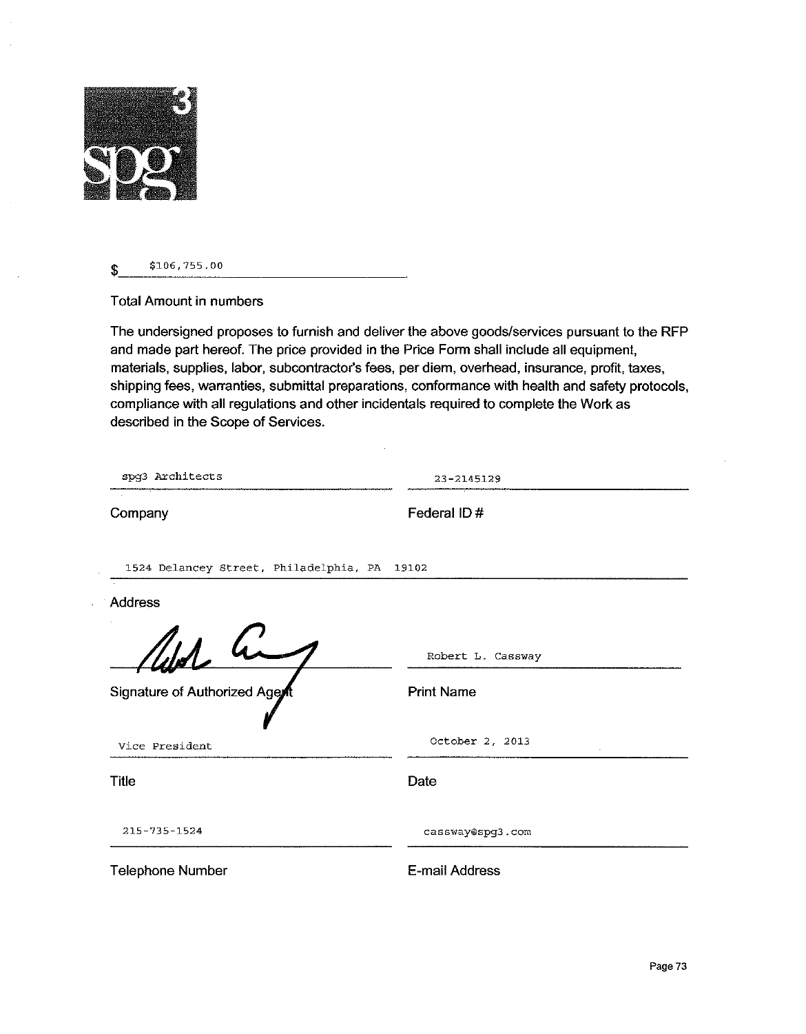

\$106,755.00 \$

**Total Amount in numbers** 

The undersigned proposes to furnish and deliver the above goods/services pursuant to the RFP and made part hereof. The price provided in the Price Form shall include all equipment, materials, supplies, labor, subcontractor's fees, per diem, overhead, insurance, profit, taxes, shipping fees, warranties, submittal preparations, conformance with health and safety protocols, compliance with all regulations and other incidentals required to complete the Work as described in the Scope of Services.

 $\bar{z}$ 

| spg3 Architects                              | $23 - 2145129$    |  |  |
|----------------------------------------------|-------------------|--|--|
| Company                                      | Federal ID#       |  |  |
| 1524 Delancey Street, Philadelphia, PA 19102 |                   |  |  |
| Address                                      |                   |  |  |
| Uld hi                                       | Robert L. Cassway |  |  |
| Signature of Authorized Agent                | <b>Print Name</b> |  |  |
| Vice President                               | October 2, 2013   |  |  |
| <b>Title</b>                                 | Date              |  |  |
| 215-735-1524                                 | cassway@spq3.com  |  |  |
| <b>Telephone Number</b>                      | E-mail Address    |  |  |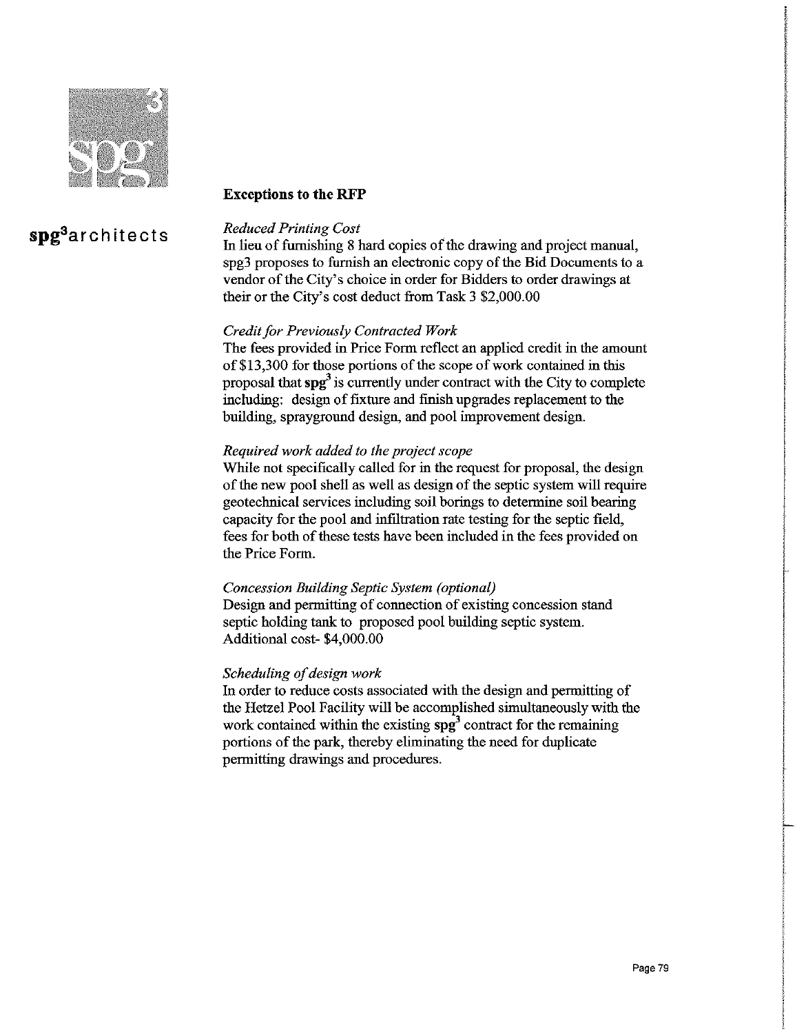

#### **Exceptions to the RFP**

## spg<sup>3</sup>architects

#### **Reduced Printing Cost**

In lieu of furnishing 8 hard copies of the drawing and project manual, spg3 proposes to furnish an electronic copy of the Bid Documents to a vendor of the City's choice in order for Bidders to order drawings at their or the City's cost deduct from Task 3 \$2,000.00

#### Credit for Previously Contracted Work

The fees provided in Price Form reflect an applied credit in the amount of \$13,300 for those portions of the scope of work contained in this proposal that  $\text{sp}^3$  is currently under contract with the City to complete including: design of fixture and finish upgrades replacement to the building, sprayground design, and pool improvement design.

#### Required work added to the project scope

While not specifically called for in the request for proposal, the design of the new pool shell as well as design of the septic system will require geotechnical services including soil borings to determine soil bearing capacity for the pool and infiltration rate testing for the septic field, fees for both of these tests have been included in the fees provided on the Price Form.

#### Concession Building Septic System (optional)

Design and permitting of connection of existing concession stand septic holding tank to proposed pool building septic system. Additional cost-\$4,000.00

#### Scheduling of design work

In order to reduce costs associated with the design and permitting of the Hetzel Pool Facility will be accomplished simultaneously with the work contained within the existing  $spg^3$  contract for the remaining portions of the park, thereby eliminating the need for duplicate permitting drawings and procedures.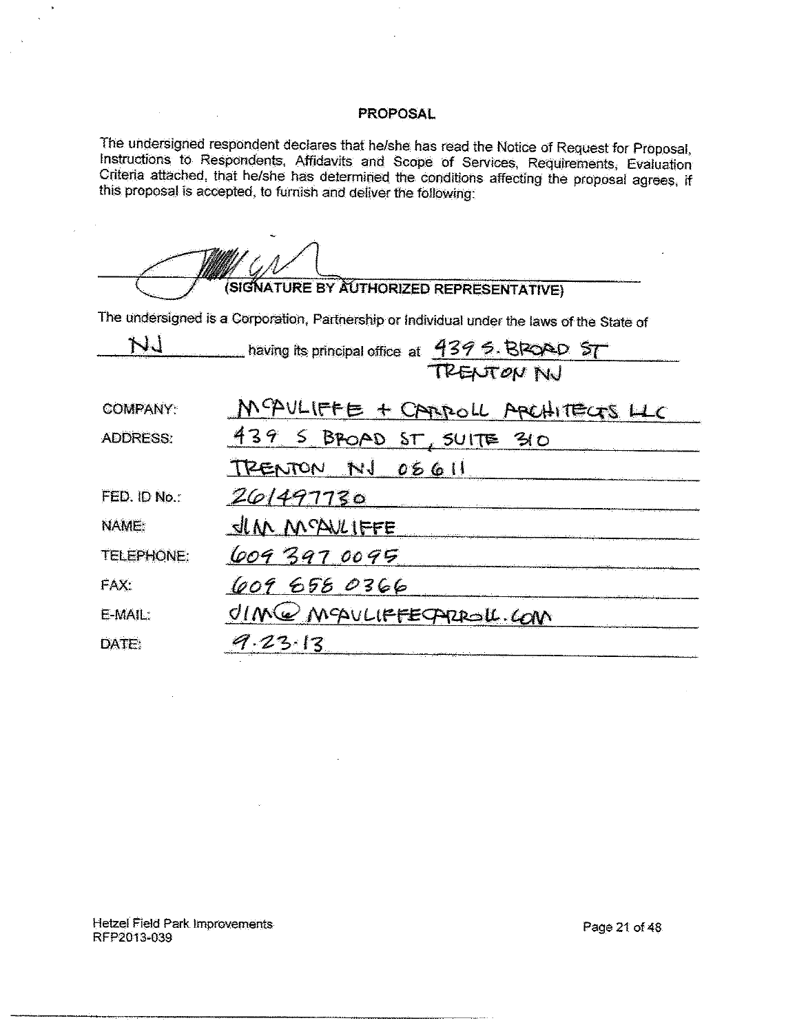The undersigned respondent declares that he/she has read the Notice of Request for Proposal, Instructions to Respondents, Affidavits and Scope of Services, Requirements, Evaluation Criteria attached, that he/she has determ this proposal is accepted, to furnish and deliver the following:

| ÷                                                                                          |
|--------------------------------------------------------------------------------------------|
| (SIGNATURE BY AUTHORIZED REPRESENTATIVE)                                                   |
| The undersigned is a Corporation, Partnership or Individual under the laws of the State of |
| having its principal office at $439.5$ . BRQAD                                             |

TRENTON NU

| <b>COMPANY:</b>   | MCAULIFFE + CARROLL ARCHITECTS LLC |
|-------------------|------------------------------------|
| <b>ADDRESS:</b>   | 439 5 BPOAD ST, SUITE 310          |
|                   | TRENTON NJ 08611                   |
| FED. ID No.:      | 201497730                          |
| NAME:             | <u>SIM MCAVLIFFE</u>               |
| <b>TELEPHONE:</b> | 6093970095                         |
| FAX:              | 609 658 0366                       |
| E-MAIL:           | OIM@MQULIFFECARROLL.COM            |
| DATE:             | $9.23 - 13$                        |

Hetzel Field Park Improvements RFP2013-039

 $\sim$ 

 $\sim 10^{11}$  km

Page 21 of 48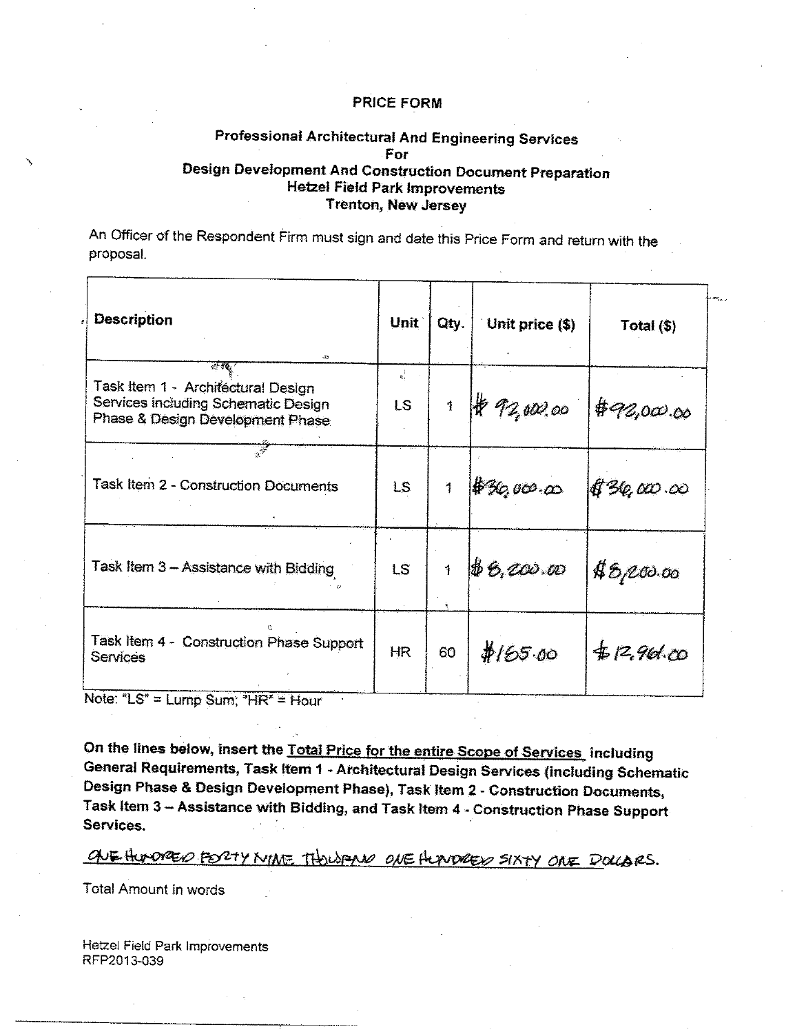#### Professional Architectural And Engineering Services For **Design Development And Construction Document Preparation Hetzel Field Park Improvements Trenton, New Jersey**

An Officer of the Respondent Firm must sign and date this Price Form and return with the proposal.

| Description<br>۰Ø                                                                                             | Unit                       | Qty.          | Unit price (\$) | Total $(\$)$ |
|---------------------------------------------------------------------------------------------------------------|----------------------------|---------------|-----------------|--------------|
| Task Item 1 - Architectural Design<br>Services including Schematic Design<br>Phase & Design Development Phase | $\frac{1}{n}$<br><b>LS</b> | $\mathfrak f$ | $*72,002,000$   | #92,000.00   |
| Task Item 2 - Construction Documents                                                                          | LS.                        |               | #36,000,00      | 896,000.00   |
| Task Item 3 - Assistance with Bidding                                                                         | LS.                        | $\mathbf{1}$  | $\#6,000.00$    | \$8,000.00   |
| Task Item 4 - Construction Phase Support<br>Services                                                          | <b>HR</b>                  | 60            | #165.00         | # 12,961.00  |

Note: "LS" = Lump Sum; "HR" = Hour

On the lines below, insert the Total Price for the entire Scope of Services including General Requirements, Task Item 1 - Architectural Design Services (including Schematic Design Phase & Design Development Phase), Task Item 2 - Construction Documents, Task Item 3 - Assistance with Bidding, and Task Item 4 - Construction Phase Support Services.

ONE HUMORED FORTY MINE THOUGAND ONE HUMORED SIXTY ONE DOLLARS.

Total Amount in words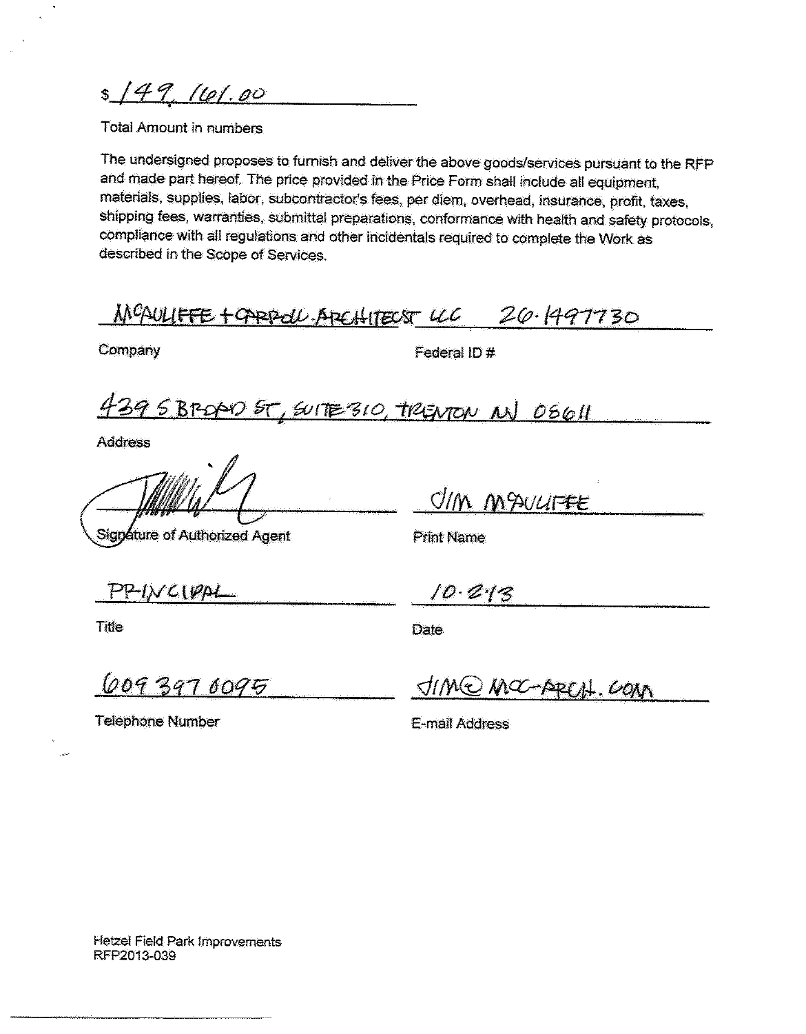$s/49,161.00$ 

Total Amount in numbers

The undersigned proposes to furnish and deliver the above goods/services pursuant to the RFP and made part hereof. The price provided in the Price Form shall include all equipment, materials, supplies, labor, subcontractor's fees, per diem, overhead, insurance, profit, taxes, shipping fees, warranties, submittal preparations, conformance with health and safety protocols, compliance with all regulations and other incidentals required to complete the Work as described in the Scope of Services.

MCAULIFFE + OPPPOLL. APEHITECST LCC 20.1497730

Company

Federal ID #

439 SBROPO ST, SUITE 310, TRENTON NJ 08611

**Address** 

Signature of Authorized Agent

UM MAULIFFE

**Print Name** 

 $PPINCIPA$ 

**Title** 

 $10.213$ 

**Date** 

6093970095

JIME MOC-ABELAL COM

**Telephone Number** 

E-mail Address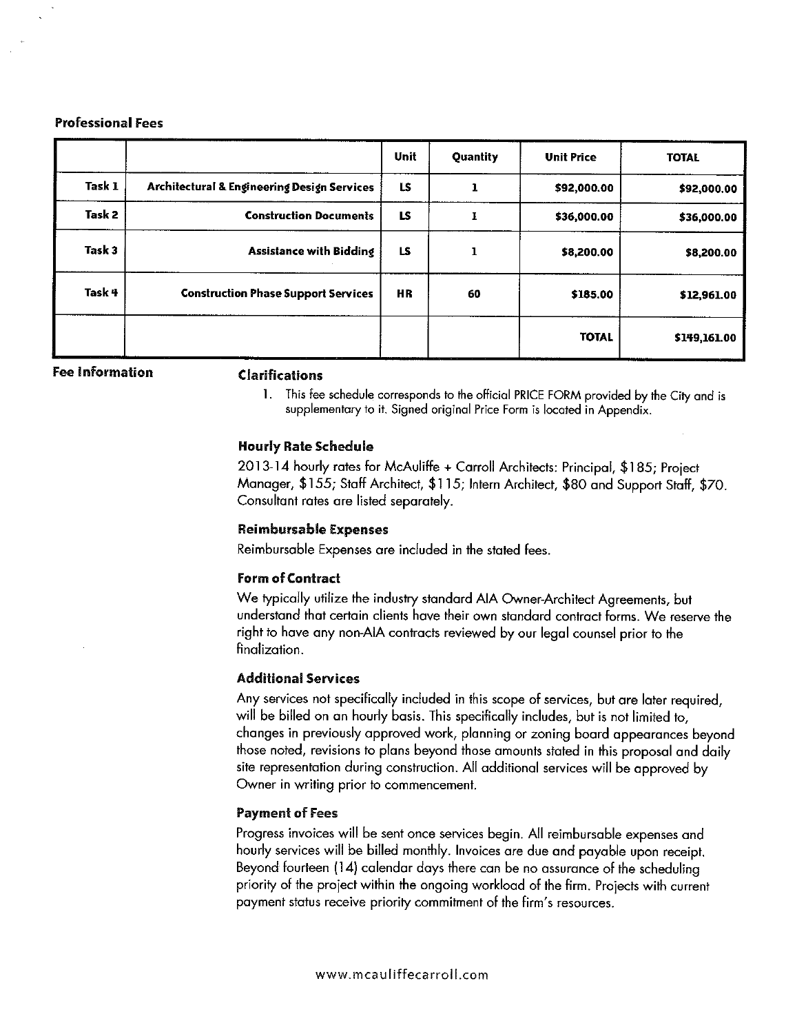#### **Professional Fees**

|        |                                             | Unit      | Quantity | <b>Unit Price</b> | <b>TOTAL</b> |
|--------|---------------------------------------------|-----------|----------|-------------------|--------------|
| Task 1 | Architectural & Engineering Design Services | LS        |          | \$92,000.00       | \$92,000.00  |
| Task 2 | <b>Construction Documents</b>               | LS        |          | \$36,000.00       | \$36,000.00  |
| Task 3 | <b>Assistance with Bidding</b>              | LS        |          | \$8,200.00        | \$8,200.00   |
| Task 4 | <b>Construction Phase Support Services</b>  | <b>HR</b> | 60       | \$185,00          | \$12,961.00  |
|        |                                             |           |          | <b>TOTAL</b>      | \$149,161.00 |

**Fee Information** 

#### **Clarifications**

1. This fee schedule corresponds to the official PRICE FORM provided by the City and is supplementary to it. Signed original Price Form is located in Appendix.

#### **Hourly Rate Schedule**

2013-14 hourly rates for McAuliffe + Carroll Architects: Principal, \$185; Project Manager, \$155; Staff Architect, \$115; Intern Architect, \$80 and Support Staff, \$70. Consultant rates are listed separately.

#### **Reimbursable Expenses**

Reimbursable Expenses are included in the stated fees.

#### **Form of Contract**

We typically utilize the industry standard AIA Owner-Architect Agreements, but understand that certain clients have their own standard contract forms. We reserve the right to have any non-AIA contracts reviewed by our legal counsel prior to the finalization.

#### **Additional Services**

Any services not specifically included in this scope of services, but are later required, will be billed on an hourly basis. This specifically includes, but is not limited to, changes in previously approved work, planning or zoning board appearances beyond those noted, revisions to plans beyond those amounts stated in this proposal and daily site representation during construction. All additional services will be approved by Owner in writing prior to commencement.

#### **Payment of Fees**

Progress invoices will be sent once services begin. All reimbursable expenses and hourly services will be billed monthly. Invoices are due and payable upon receipt. Beyond fourteen (14) calendar days there can be no assurance of the scheduling priority of the project within the ongoing workload of the firm. Projects with current payment status receive priority commitment of the firm's resources.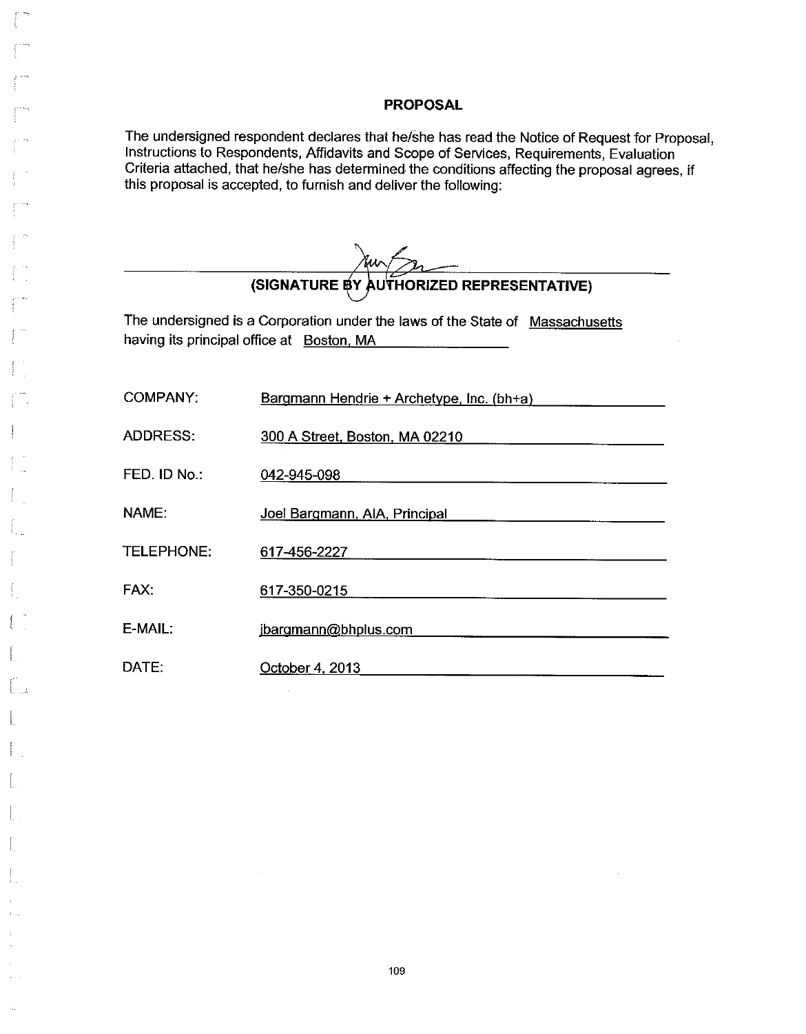The undersigned respondent declares that he/she has read the Notice of Request for Proposal, Instructions to Respondents, Affidavits and Scope of Services, Requirements, Evaluation Criteria attached, that he/she has determined the conditions affecting the proposal agrees, if this proposal is accepted, to furnish and deliver the following:

| (SIGNATURE BY AUTHORIZED REPRESENTATIVE)                                                                                   |                                           |  |  |
|----------------------------------------------------------------------------------------------------------------------------|-------------------------------------------|--|--|
| The undersigned is a Corporation under the laws of the State of Massachusetts<br>having its principal office at Boston, MA |                                           |  |  |
| <b>COMPANY:</b>                                                                                                            | Bargmann Hendrie + Archetype, Inc. (bh+a) |  |  |
| <b>ADDRESS:</b>                                                                                                            | 300 A Street, Boston, MA 02210            |  |  |
| FED. ID No.:                                                                                                               | 042-945-098                               |  |  |
| NAME:                                                                                                                      | Joel Bargmann, AIA, Principal             |  |  |
| <b>TELEPHONE:</b>                                                                                                          | 617-456-2227                              |  |  |
| FAX:                                                                                                                       | 617-350-0215                              |  |  |
| $E$ -MAII:                                                                                                                 | jbargmann@bhplus.com                      |  |  |
| DATE:                                                                                                                      | October 4, 2013                           |  |  |

 $\bar{z}$ 

 $\mathbf{u}$  .  $\bar{1}$ 

 $\sim$  . .

 $\hat{u}_\alpha$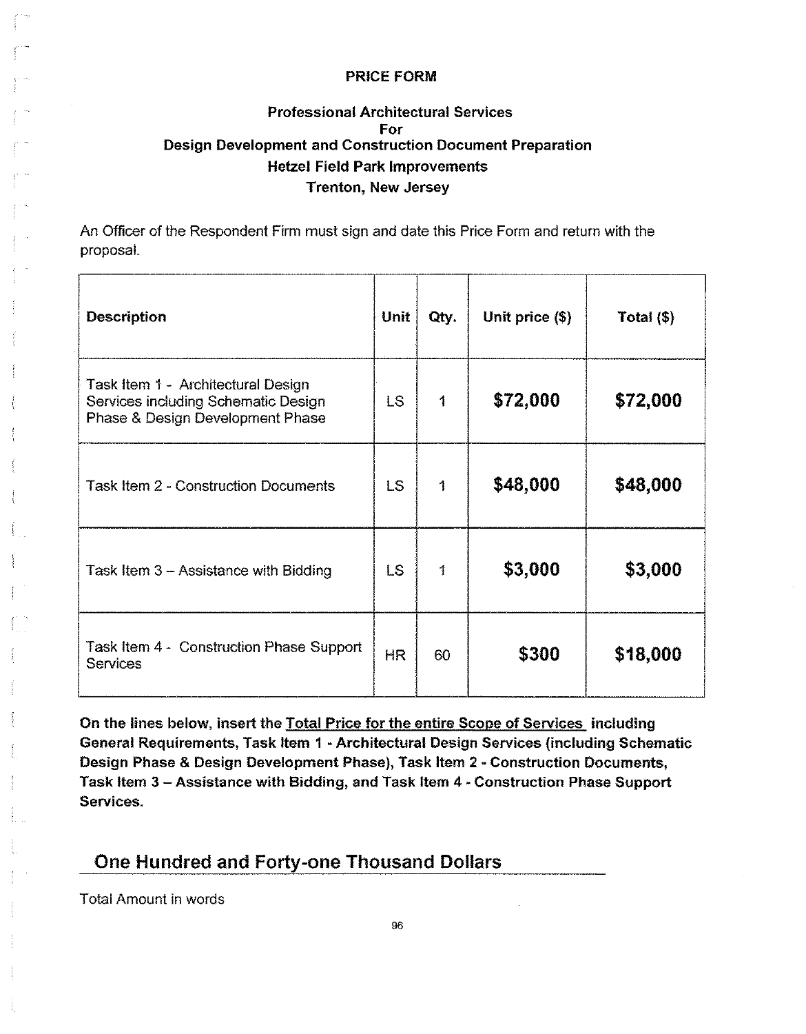## **Professional Architectural Services** For **Design Development and Construction Document Preparation Hetzel Field Park Improvements Trenton, New Jersey**

An Officer of the Respondent Firm must sign and date this Price Form and return with the proposal.

| <b>Description</b>                                                                                            | <b>Unit</b> | Qty. | Unit price (\$) | Total $($ math) |
|---------------------------------------------------------------------------------------------------------------|-------------|------|-----------------|-----------------|
| Task Item 1 - Architectural Design<br>Services including Schematic Design<br>Phase & Design Development Phase | <b>LS</b>   | 1    | \$72,000        | \$72,000        |
| <b>Task Item 2 - Construction Documents</b>                                                                   | <b>LS</b>   | 1    | \$48,000        | \$48,000        |
| Task Item 3 - Assistance with Bidding                                                                         | <b>LS</b>   | 1    | \$3,000         | \$3,000         |
| Task Item 4 - Construction Phase Support<br><b>Services</b>                                                   | <b>HR</b>   | 60   | \$300           | \$18,000        |

On the lines below, insert the Total Price for the entire Scope of Services including General Requirements, Task Item 1 - Architectural Design Services (including Schematic Design Phase & Design Development Phase), Task Item 2 - Construction Documents, Task Item 3 - Assistance with Bidding, and Task Item 4 - Construction Phase Support Services.

## One Hundred and Forty-one Thousand Dollars

Total Amount in words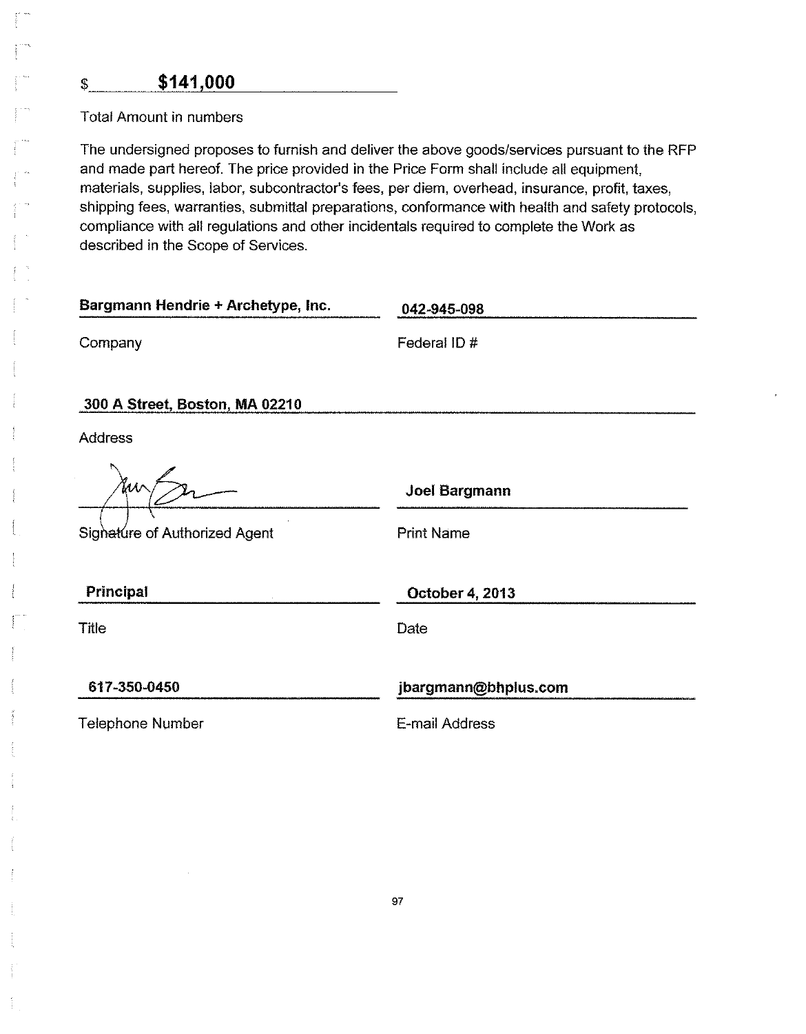## \$141,000

**Total Amount in numbers** 

 $\mathsf{S}$ 

The undersigned proposes to furnish and deliver the above goods/services pursuant to the RFP and made part hereof. The price provided in the Price Form shall include all equipment, materials, supplies, labor, subcontractor's fees, per diem, overhead, insurance, profit, taxes, shipping fees, warranties, submittal preparations, conformance with health and safety protocols, compliance with all regulations and other incidentals required to complete the Work as described in the Scope of Services.

| Bargmann Hendrie + Archetype, Inc. | 042-945-098          |  |  |  |
|------------------------------------|----------------------|--|--|--|
| Company                            | Federal ID #         |  |  |  |
| 300 A Street, Boston, MA 02210     |                      |  |  |  |
| <b>Address</b>                     |                      |  |  |  |
| ĭΜ                                 | <b>Joel Bargmann</b> |  |  |  |
| Signature of Authorized Agent      | <b>Print Name</b>    |  |  |  |
| Principal                          | October 4, 2013      |  |  |  |
| <b>Title</b>                       | Date                 |  |  |  |
| 617-350-0450                       | jbargmann@bhplus.com |  |  |  |
|                                    |                      |  |  |  |
| <b>Telephone Number</b>            | E-mail Address       |  |  |  |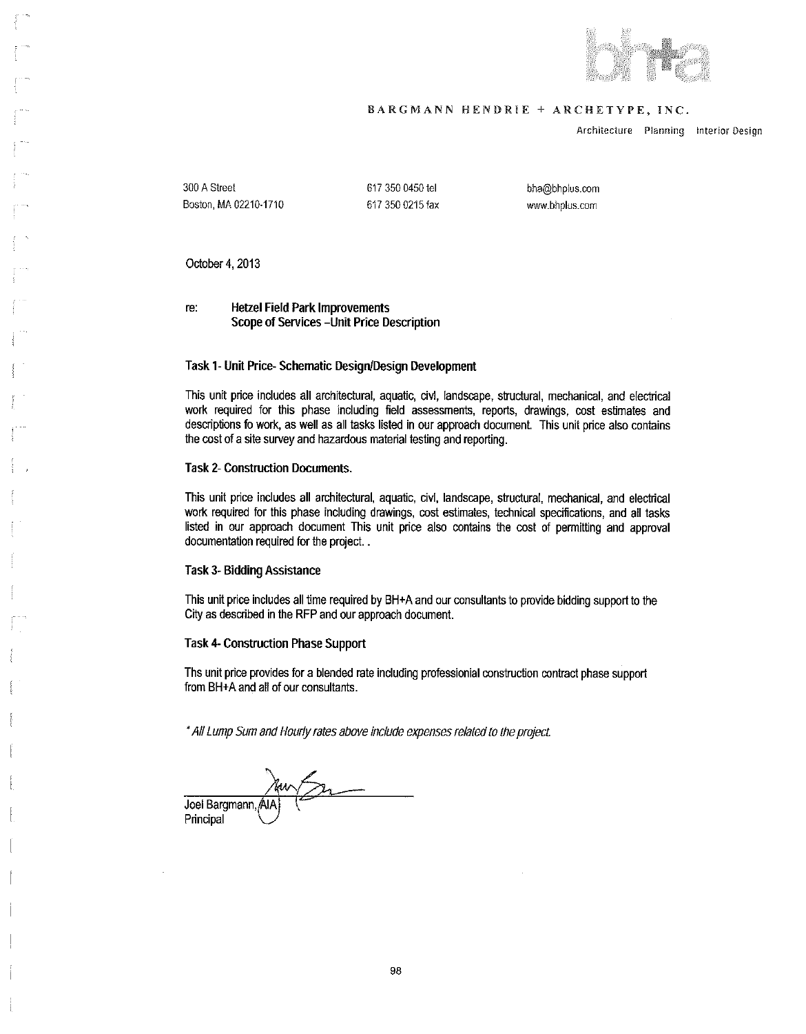

#### BARGMANN HENDRIE + ARCHETYPE, INC.

Architecture Planning Interior Design

300 A Street Boston, MA 02210-1710 617 350 0450 tel 617 350 0215 fax

bha@bhplus.com www.bhplus.com

October 4, 2013

**Hetzel Field Park Improvements** re: Scope of Services - Unit Price Description

#### Task 1- Unit Price-Schematic Design/Design Development

This unit price includes all architectural, aquatic, civi, landscape, structural, mechanical, and electrical work required for this phase including field assessments, reports, drawings, cost estimates and descriptions fo work, as well as all tasks listed in our approach document. This unit price also contains the cost of a site survey and hazardous material testing and reporting.

#### **Task 2- Construction Documents.**

This unit price includes all architectural, aquatic, civl, landscape, structural, mechanical, and electrical work required for this phase including drawings, cost estimates, technical specifications, and all tasks listed in our approach document This unit price also contains the cost of permitting and approval documentation required for the project...

#### **Task 3- Bidding Assistance**

This unit price includes all time required by BH+A and our consultants to provide bidding support to the City as described in the RFP and our approach document.

#### **Task 4- Construction Phase Support**

Ths unit price provides for a blended rate including professionial construction contract phase support from BH+A and all of our consultants.

\* All Lump Sum and Hourly rates above include expenses related to the project.

Joel Bargmann, Al/ Principal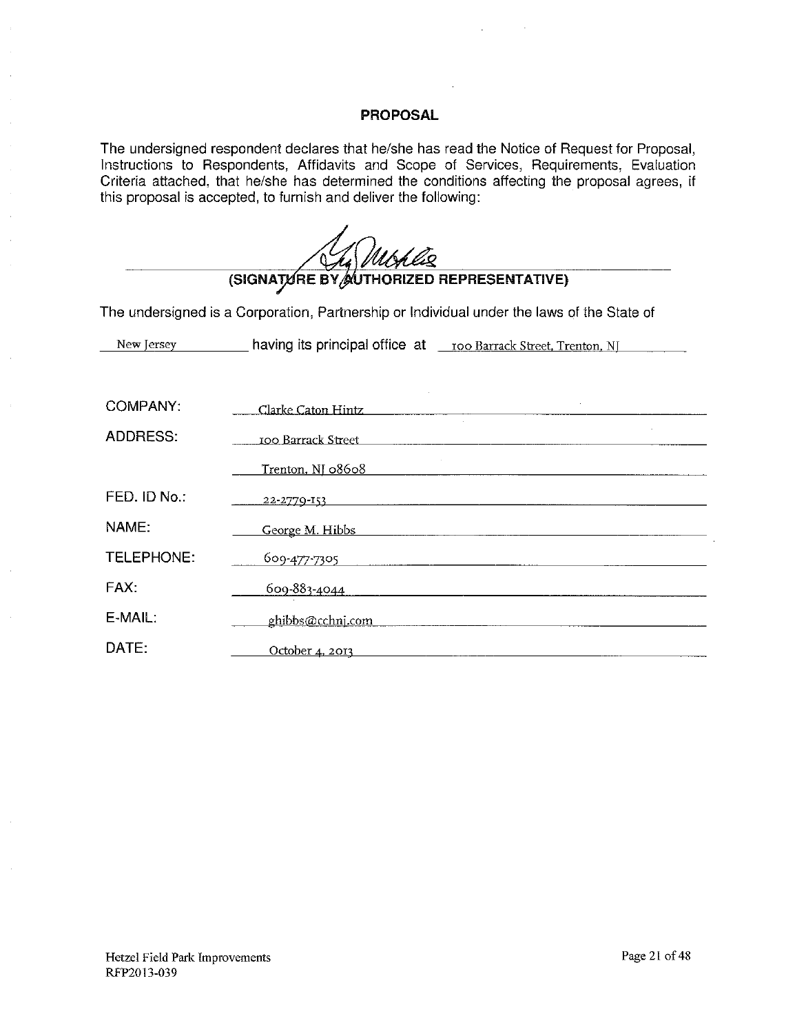The undersigned respondent declares that he/she has read the Notice of Request for Proposal, Instructions to Respondents, Affidavits and Scope of Services, Requirements, Evaluation Criteria attached, that he/she has determined the conditions affecting the proposal agrees, if this proposal is accepted, to furnish and deliver the following:

(SIGNATURE BY AUTHORIZED REPRESENTATIVE) The undersigned is a Corporation, Partnership or Individual under the laws of the State of COMPANY: Clarke Caton Hintz

| ADDRESS:     | 100 Barrack Street |
|--------------|--------------------|
|              | Trenton, NJ 08608  |
| FED. ID No.: | 22-2779-153        |
| NAME:        | George M. Hibbs    |
| TELEPHONE:   | 609 477 7305       |
| FAX:         | 609-883-4044       |
| $E$ -MAIL:   | ghibbs@cchni.com   |
| DATE:        | October 4, 2013    |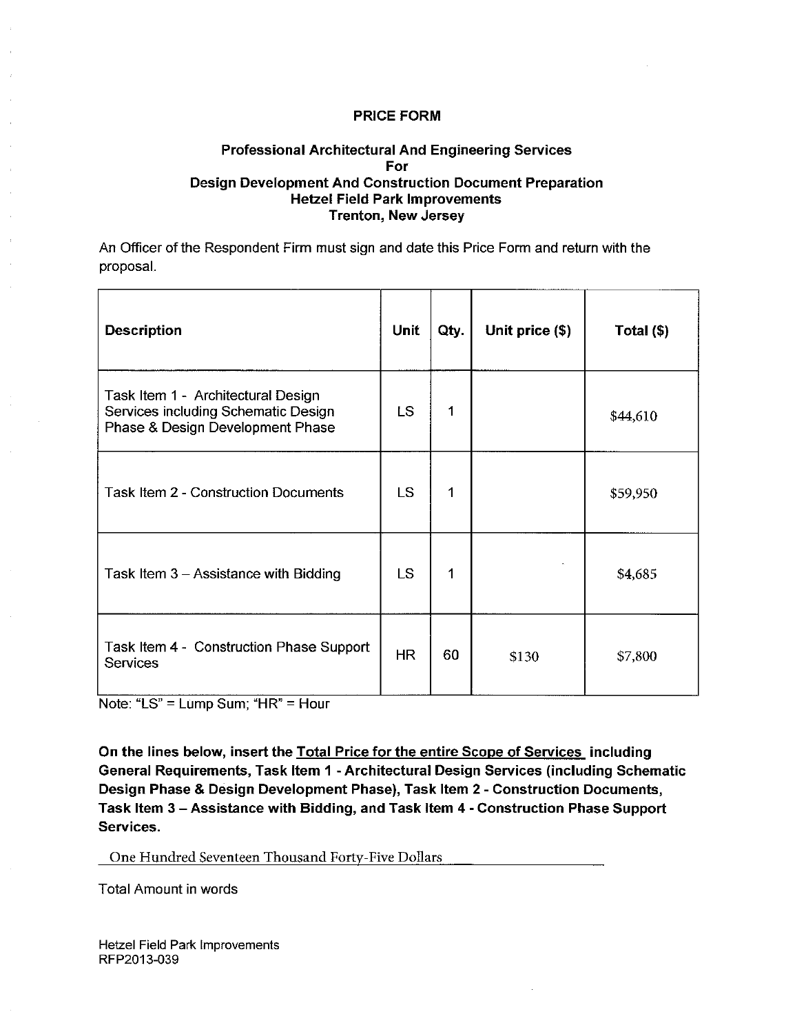#### **Professional Architectural And Engineering Services** For **Design Development And Construction Document Preparation Hetzel Field Park Improvements Trenton, New Jersey**

An Officer of the Respondent Firm must sign and date this Price Form and return with the proposal.

| <b>Description</b>                                                                                            | <b>Unit</b> | Qty. | Unit price (\$) | Total (\$) |
|---------------------------------------------------------------------------------------------------------------|-------------|------|-----------------|------------|
| Task Item 1 - Architectural Design<br>Services including Schematic Design<br>Phase & Design Development Phase | LS.         | 1    |                 | \$44,610   |
| Task Item 2 - Construction Documents                                                                          | <b>LS</b>   | 1    |                 | \$59,950   |
| Task Item 3 - Assistance with Bidding                                                                         | <b>LS</b>   | 1    |                 | \$4,685    |
| Task Item 4 - Construction Phase Support<br><b>Services</b>                                                   | <b>HR</b>   | 60   | \$130           | \$7,800    |

Note: "LS" = Lump Sum; "HR" = Hour

On the lines below, insert the Total Price for the entire Scope of Services including General Requirements, Task Item 1 - Architectural Design Services (including Schematic Design Phase & Design Development Phase), Task Item 2 - Construction Documents, Task Item 3 - Assistance with Bidding, and Task Item 4 - Construction Phase Support Services.

One Hundred Seventeen Thousand Forty-Five Dollars

**Total Amount in words**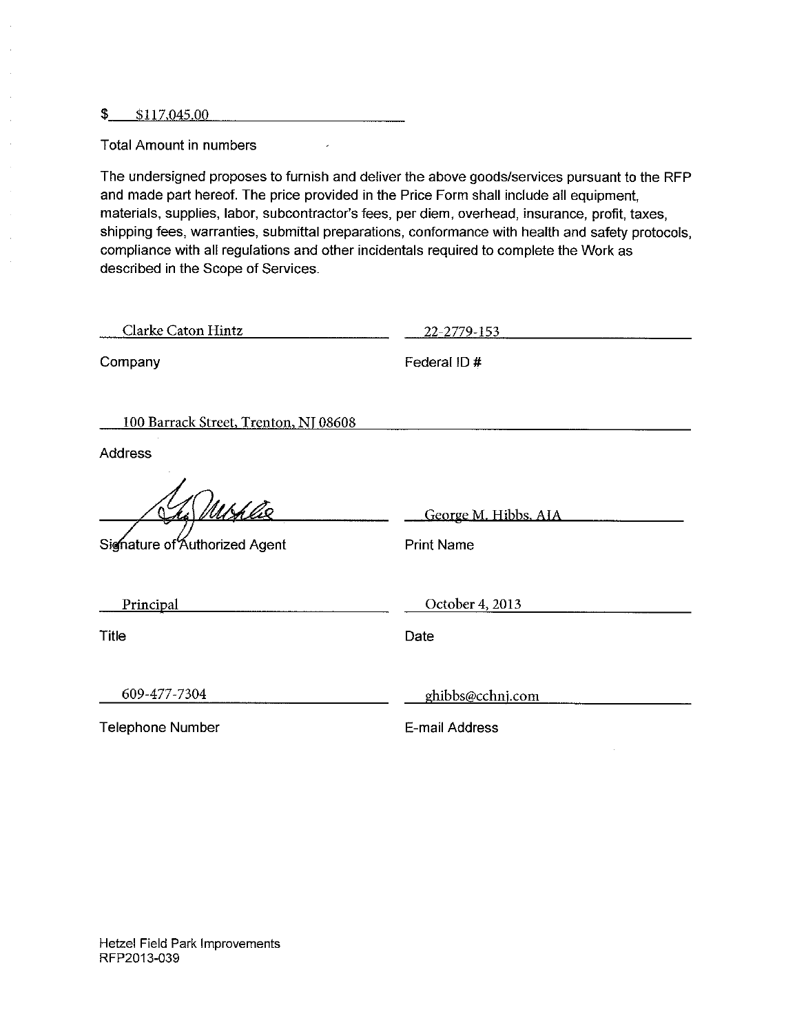$$117,045.00$ 

 $\bar{z}$  $\mathbb{R}^2$  $\bar{\bar{z}}$ 

 $\bar{z}$ 

 $\bar{\beta}$ 

 $\mathbb{R}^2$ 

**Total Amount in numbers** 

The undersigned proposes to furnish and deliver the above goods/services pursuant to the RFP and made part hereof. The price provided in the Price Form shall include all equipment. materials, supplies, labor, subcontractor's fees, per diem, overhead, insurance, profit, taxes, shipping fees, warranties, submittal preparations, conformance with health and safety protocols, compliance with all regulations and other incidentals required to complete the Work as described in the Scope of Services.

 $\overline{\phantom{a}}$ 

| Clarke Caton Hintz                             | 22-2779-153                               |
|------------------------------------------------|-------------------------------------------|
| Company                                        | Federal ID#                               |
| 100 Barrack Street, Trenton, NJ 08608          |                                           |
| <b>Address</b>                                 |                                           |
| <u>Ushliz</u><br>Signature of Authorized Agent | George M. Hibbs. AIA<br><b>Print Name</b> |
| Principal                                      | October 4, 2013                           |
| Title                                          | Date                                      |
| 609-477-7304                                   | ghibbs@cchnj.com                          |
| <b>Telephone Number</b>                        | E-mail Address                            |